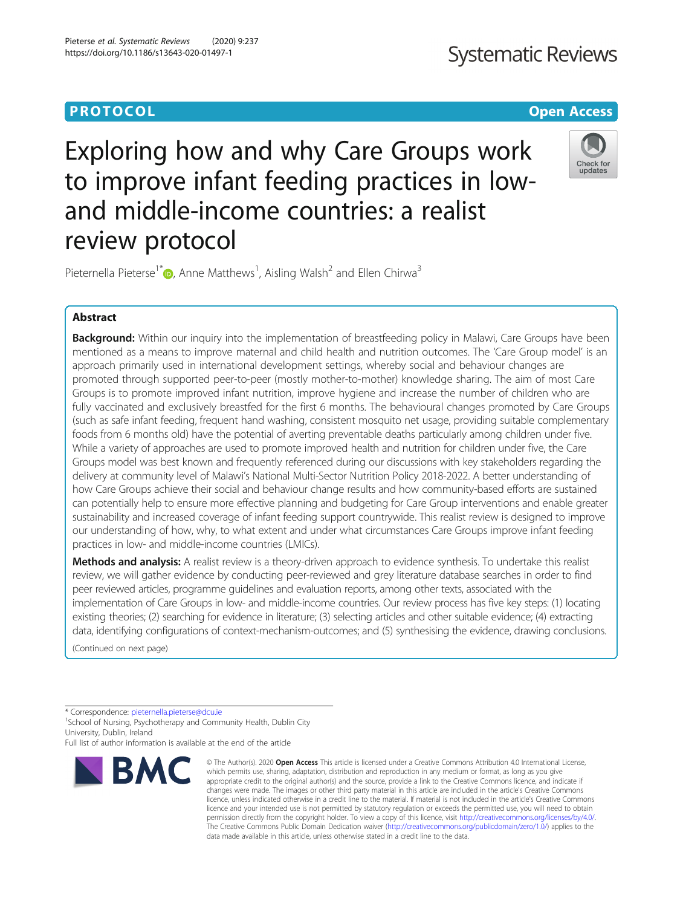## **Systematic Reviews**

### **PROTOCOL CONSIDERING CONSIDERING CONSIDERING CONSIDERING CONSIDERING CONSIDERING CONSIDERING CONSIDERING CONSIDERING CONSIDERING CONSIDERING CONSIDERING CONSIDERING CONSIDERING CONSIDERING CONSIDERING CONSIDERING CONSID**

# Exploring how and why Care Groups work to improve infant feeding practices in lowand middle-income countries: a realist review protocol



Pieternella Pieterse<sup>1[\\*](http://orcid.org/0000-0001-7100-3514)</sup>  $\bullet$ , Anne Matthews<sup>1</sup>, Aisling Walsh<sup>2</sup> and Ellen Chirwa<sup>3</sup>

#### Abstract

Background: Within our inquiry into the implementation of breastfeeding policy in Malawi, Care Groups have been mentioned as a means to improve maternal and child health and nutrition outcomes. The 'Care Group model' is an approach primarily used in international development settings, whereby social and behaviour changes are promoted through supported peer-to-peer (mostly mother-to-mother) knowledge sharing. The aim of most Care Groups is to promote improved infant nutrition, improve hygiene and increase the number of children who are fully vaccinated and exclusively breastfed for the first 6 months. The behavioural changes promoted by Care Groups (such as safe infant feeding, frequent hand washing, consistent mosquito net usage, providing suitable complementary foods from 6 months old) have the potential of averting preventable deaths particularly among children under five. While a variety of approaches are used to promote improved health and nutrition for children under five, the Care Groups model was best known and frequently referenced during our discussions with key stakeholders regarding the delivery at community level of Malawi's National Multi-Sector Nutrition Policy 2018-2022. A better understanding of how Care Groups achieve their social and behaviour change results and how community-based efforts are sustained can potentially help to ensure more effective planning and budgeting for Care Group interventions and enable greater sustainability and increased coverage of infant feeding support countrywide. This realist review is designed to improve our understanding of how, why, to what extent and under what circumstances Care Groups improve infant feeding practices in low- and middle-income countries (LMICs).

Methods and analysis: A realist review is a theory-driven approach to evidence synthesis. To undertake this realist review, we will gather evidence by conducting peer-reviewed and grey literature database searches in order to find peer reviewed articles, programme guidelines and evaluation reports, among other texts, associated with the implementation of Care Groups in low- and middle-income countries. Our review process has five key steps: (1) locating existing theories; (2) searching for evidence in literature; (3) selecting articles and other suitable evidence; (4) extracting data, identifying configurations of context-mechanism-outcomes; and (5) synthesising the evidence, drawing conclusions.

(Continued on next page)

\* Correspondence: [pieternella.pieterse@dcu.ie](mailto:pieternella.pieterse@dcu.ie) <sup>1</sup>

<sup>1</sup>School of Nursing, Psychotherapy and Community Health, Dublin City University, Dublin, Ireland

Full list of author information is available at the end of the article



<sup>©</sup> The Author(s), 2020 **Open Access** This article is licensed under a Creative Commons Attribution 4.0 International License, which permits use, sharing, adaptation, distribution and reproduction in any medium or format, as long as you give appropriate credit to the original author(s) and the source, provide a link to the Creative Commons licence, and indicate if changes were made. The images or other third party material in this article are included in the article's Creative Commons licence, unless indicated otherwise in a credit line to the material. If material is not included in the article's Creative Commons licence and your intended use is not permitted by statutory regulation or exceeds the permitted use, you will need to obtain permission directly from the copyright holder. To view a copy of this licence, visit [http://creativecommons.org/licenses/by/4.0/.](http://creativecommons.org/licenses/by/4.0/) The Creative Commons Public Domain Dedication waiver [\(http://creativecommons.org/publicdomain/zero/1.0/](http://creativecommons.org/publicdomain/zero/1.0/)) applies to the data made available in this article, unless otherwise stated in a credit line to the data.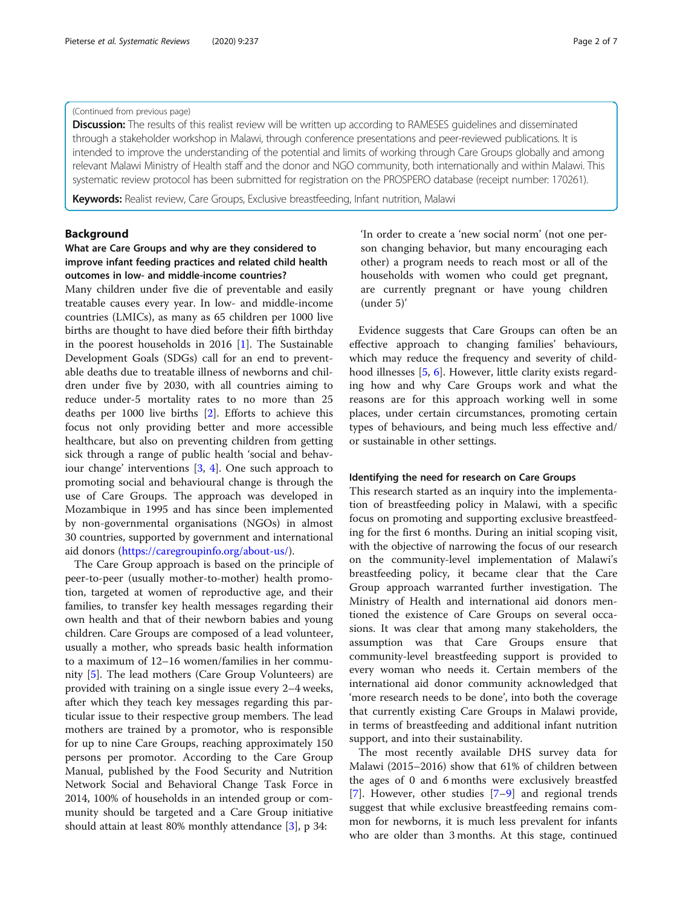#### (Continued from previous page)

Discussion: The results of this realist review will be written up according to RAMESES guidelines and disseminated through a stakeholder workshop in Malawi, through conference presentations and peer-reviewed publications. It is intended to improve the understanding of the potential and limits of working through Care Groups globally and among relevant Malawi Ministry of Health staff and the donor and NGO community, both internationally and within Malawi. This systematic review protocol has been submitted for registration on the PROSPERO database (receipt number: 170261).

Keywords: Realist review, Care Groups, Exclusive breastfeeding, Infant nutrition, Malawi

#### Background

#### What are Care Groups and why are they considered to improve infant feeding practices and related child health outcomes in low- and middle-income countries?

Many children under five die of preventable and easily treatable causes every year. In low- and middle-income countries (LMICs), as many as 65 children per 1000 live births are thought to have died before their fifth birthday in the poorest households in 2016 [[1\]](#page-6-0). The Sustainable Development Goals (SDGs) call for an end to preventable deaths due to treatable illness of newborns and children under five by 2030, with all countries aiming to reduce under-5 mortality rates to no more than 25 deaths per 1000 live births [[2\]](#page-6-0). Efforts to achieve this focus not only providing better and more accessible healthcare, but also on preventing children from getting sick through a range of public health 'social and behaviour change' interventions [\[3,](#page-6-0) [4\]](#page-6-0). One such approach to promoting social and behavioural change is through the use of Care Groups. The approach was developed in Mozambique in 1995 and has since been implemented by non-governmental organisations (NGOs) in almost 30 countries, supported by government and international aid donors [\(https://caregroupinfo.org/about-us/\)](https://caregroupinfo.org/about-us/).

The Care Group approach is based on the principle of peer-to-peer (usually mother-to-mother) health promotion, targeted at women of reproductive age, and their families, to transfer key health messages regarding their own health and that of their newborn babies and young children. Care Groups are composed of a lead volunteer, usually a mother, who spreads basic health information to a maximum of 12–16 women/families in her community [\[5\]](#page-6-0). The lead mothers (Care Group Volunteers) are provided with training on a single issue every 2–4 weeks, after which they teach key messages regarding this particular issue to their respective group members. The lead mothers are trained by a promotor, who is responsible for up to nine Care Groups, reaching approximately 150 persons per promotor. According to the Care Group Manual, published by the Food Security and Nutrition Network Social and Behavioral Change Task Force in 2014, 100% of households in an intended group or community should be targeted and a Care Group initiative should attain at least 80% monthly attendance [[3\]](#page-6-0), p 34:

'In order to create a 'new social norm' (not one person changing behavior, but many encouraging each other) a program needs to reach most or all of the households with women who could get pregnant, are currently pregnant or have young children (under 5)'

Evidence suggests that Care Groups can often be an effective approach to changing families' behaviours, which may reduce the frequency and severity of childhood illnesses [\[5](#page-6-0), [6](#page-6-0)]. However, little clarity exists regarding how and why Care Groups work and what the reasons are for this approach working well in some places, under certain circumstances, promoting certain types of behaviours, and being much less effective and/ or sustainable in other settings.

#### Identifying the need for research on Care Groups

This research started as an inquiry into the implementation of breastfeeding policy in Malawi, with a specific focus on promoting and supporting exclusive breastfeeding for the first 6 months. During an initial scoping visit, with the objective of narrowing the focus of our research on the community-level implementation of Malawi's breastfeeding policy, it became clear that the Care Group approach warranted further investigation. The Ministry of Health and international aid donors mentioned the existence of Care Groups on several occasions. It was clear that among many stakeholders, the assumption was that Care Groups ensure that community-level breastfeeding support is provided to every woman who needs it. Certain members of the international aid donor community acknowledged that 'more research needs to be done', into both the coverage that currently existing Care Groups in Malawi provide, in terms of breastfeeding and additional infant nutrition support, and into their sustainability.

The most recently available DHS survey data for Malawi (2015–2016) show that 61% of children between the ages of 0 and 6 months were exclusively breastfed [[7\]](#page-6-0). However, other studies [[7](#page-6-0)–[9](#page-6-0)] and regional trends suggest that while exclusive breastfeeding remains common for newborns, it is much less prevalent for infants who are older than 3 months. At this stage, continued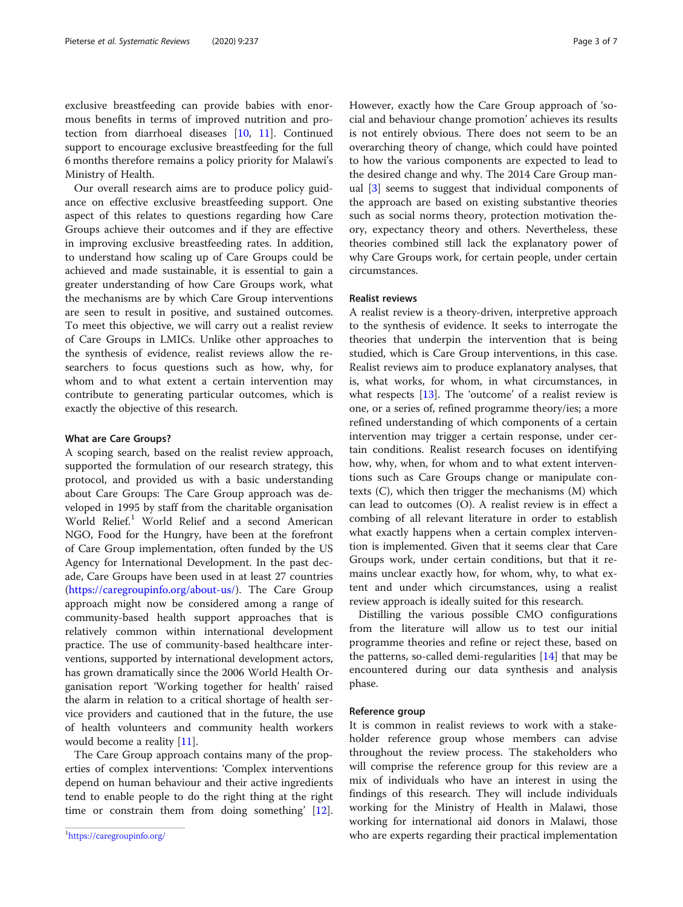exclusive breastfeeding can provide babies with enormous benefits in terms of improved nutrition and protection from diarrhoeal diseases [\[10](#page-6-0), [11\]](#page-6-0). Continued support to encourage exclusive breastfeeding for the full 6 months therefore remains a policy priority for Malawi's Ministry of Health.

Our overall research aims are to produce policy guidance on effective exclusive breastfeeding support. One aspect of this relates to questions regarding how Care Groups achieve their outcomes and if they are effective in improving exclusive breastfeeding rates. In addition, to understand how scaling up of Care Groups could be achieved and made sustainable, it is essential to gain a greater understanding of how Care Groups work, what the mechanisms are by which Care Group interventions are seen to result in positive, and sustained outcomes. To meet this objective, we will carry out a realist review of Care Groups in LMICs. Unlike other approaches to the synthesis of evidence, realist reviews allow the researchers to focus questions such as how, why, for whom and to what extent a certain intervention may contribute to generating particular outcomes, which is exactly the objective of this research.

#### What are Care Groups?

A scoping search, based on the realist review approach, supported the formulation of our research strategy, this protocol, and provided us with a basic understanding about Care Groups: The Care Group approach was developed in 1995 by staff from the charitable organisation World Relief.<sup>1</sup> World Relief and a second American NGO, Food for the Hungry, have been at the forefront of Care Group implementation, often funded by the US Agency for International Development. In the past decade, Care Groups have been used in at least 27 countries (<https://caregroupinfo.org/about-us/>). The Care Group approach might now be considered among a range of community-based health support approaches that is relatively common within international development practice. The use of community-based healthcare interventions, supported by international development actors, has grown dramatically since the 2006 World Health Organisation report 'Working together for health' raised the alarm in relation to a critical shortage of health service providers and cautioned that in the future, the use of health volunteers and community health workers would become a reality [[11\]](#page-6-0).

The Care Group approach contains many of the properties of complex interventions: 'Complex interventions depend on human behaviour and their active ingredients tend to enable people to do the right thing at the right time or constrain them from doing something' [\[12](#page-6-0)]. However, exactly how the Care Group approach of 'social and behaviour change promotion' achieves its results is not entirely obvious. There does not seem to be an overarching theory of change, which could have pointed to how the various components are expected to lead to the desired change and why. The 2014 Care Group manual [\[3](#page-6-0)] seems to suggest that individual components of the approach are based on existing substantive theories such as social norms theory, protection motivation theory, expectancy theory and others. Nevertheless, these theories combined still lack the explanatory power of why Care Groups work, for certain people, under certain circumstances.

#### Realist reviews

A realist review is a theory-driven, interpretive approach to the synthesis of evidence. It seeks to interrogate the theories that underpin the intervention that is being studied, which is Care Group interventions, in this case. Realist reviews aim to produce explanatory analyses, that is, what works, for whom, in what circumstances, in what respects [[13\]](#page-6-0). The 'outcome' of a realist review is one, or a series of, refined programme theory/ies; a more refined understanding of which components of a certain intervention may trigger a certain response, under certain conditions. Realist research focuses on identifying how, why, when, for whom and to what extent interventions such as Care Groups change or manipulate contexts (C), which then trigger the mechanisms (M) which can lead to outcomes (O). A realist review is in effect a combing of all relevant literature in order to establish what exactly happens when a certain complex intervention is implemented. Given that it seems clear that Care Groups work, under certain conditions, but that it remains unclear exactly how, for whom, why, to what extent and under which circumstances, using a realist review approach is ideally suited for this research.

Distilling the various possible CMO configurations from the literature will allow us to test our initial programme theories and refine or reject these, based on the patterns, so-called demi-regularities  $[14]$  $[14]$  that may be encountered during our data synthesis and analysis phase.

#### Reference group

It is common in realist reviews to work with a stakeholder reference group whose members can advise throughout the review process. The stakeholders who will comprise the reference group for this review are a mix of individuals who have an interest in using the findings of this research. They will include individuals working for the Ministry of Health in Malawi, those working for international aid donors in Malawi, those who are experts regarding their practical implementation

<https://caregroupinfo.org/>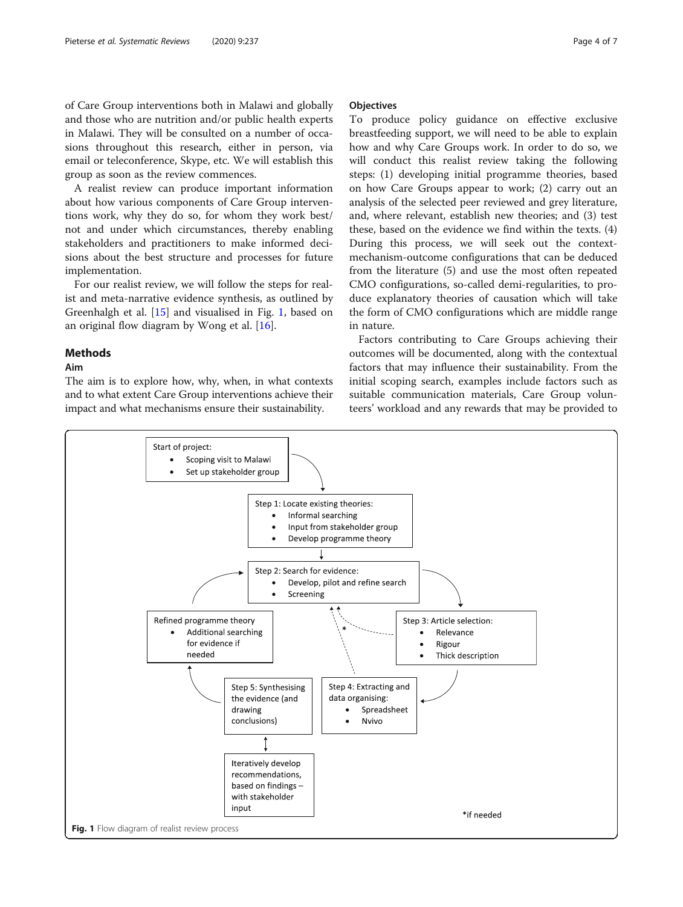of Care Group interventions both in Malawi and globally and those who are nutrition and/or public health experts in Malawi. They will be consulted on a number of occasions throughout this research, either in person, via email or teleconference, Skype, etc. We will establish this group as soon as the review commences.

A realist review can produce important information about how various components of Care Group interventions work, why they do so, for whom they work best/ not and under which circumstances, thereby enabling stakeholders and practitioners to make informed decisions about the best structure and processes for future implementation.

For our realist review, we will follow the steps for realist and meta-narrative evidence synthesis, as outlined by Greenhalgh et al. [[15\]](#page-6-0) and visualised in Fig. 1, based on an original flow diagram by Wong et al. [\[16\]](#page-6-0).

#### Methods

#### Aim

The aim is to explore how, why, when, in what contexts and to what extent Care Group interventions achieve their impact and what mechanisms ensure their sustainability.

#### **Objectives**

To produce policy guidance on effective exclusive breastfeeding support, we will need to be able to explain how and why Care Groups work. In order to do so, we will conduct this realist review taking the following steps: (1) developing initial programme theories, based on how Care Groups appear to work; (2) carry out an analysis of the selected peer reviewed and grey literature, and, where relevant, establish new theories; and (3) test these, based on the evidence we find within the texts. (4) During this process, we will seek out the contextmechanism-outcome configurations that can be deduced from the literature (5) and use the most often repeated CMO configurations, so-called demi-regularities, to produce explanatory theories of causation which will take the form of CMO configurations which are middle range in nature.

Factors contributing to Care Groups achieving their outcomes will be documented, along with the contextual factors that may influence their sustainability. From the initial scoping search, examples include factors such as suitable communication materials, Care Group volunteers' workload and any rewards that may be provided to

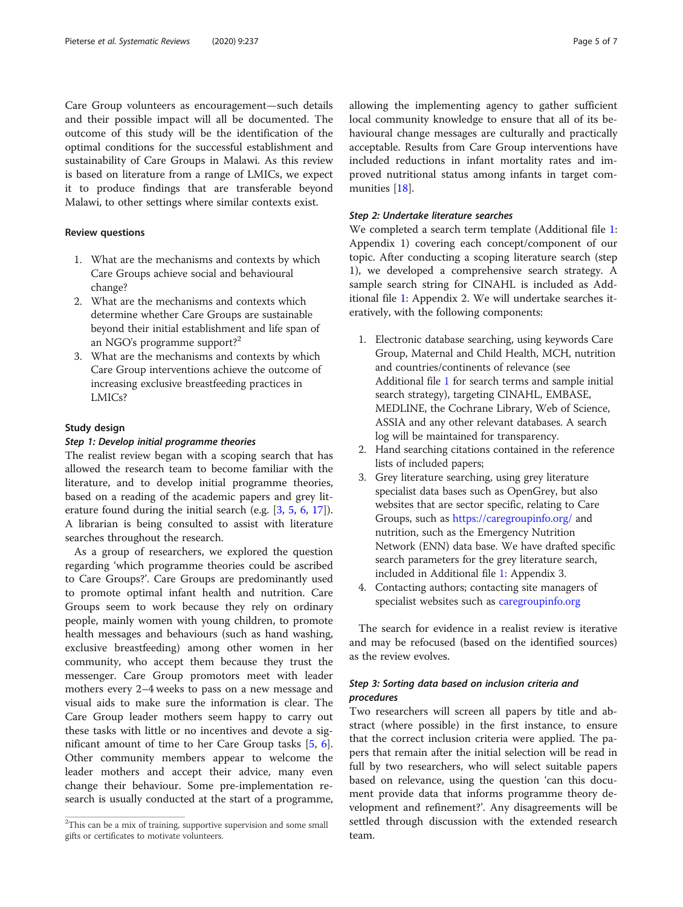Care Group volunteers as encouragement—such details and their possible impact will all be documented. The outcome of this study will be the identification of the optimal conditions for the successful establishment and sustainability of Care Groups in Malawi. As this review is based on literature from a range of LMICs, we expect it to produce findings that are transferable beyond Malawi, to other settings where similar contexts exist.

#### Review questions

- 1. What are the mechanisms and contexts by which Care Groups achieve social and behavioural change?
- 2. What are the mechanisms and contexts which determine whether Care Groups are sustainable beyond their initial establishment and life span of an NGO's programme support?<sup>2</sup>
- 3. What are the mechanisms and contexts by which Care Group interventions achieve the outcome of increasing exclusive breastfeeding practices in LMICs?

#### Study design

#### Step 1: Develop initial programme theories

The realist review began with a scoping search that has allowed the research team to become familiar with the literature, and to develop initial programme theories, based on a reading of the academic papers and grey literature found during the initial search (e.g. [\[3](#page-6-0), [5](#page-6-0), [6,](#page-6-0) [17](#page-6-0)]). A librarian is being consulted to assist with literature searches throughout the research.

As a group of researchers, we explored the question regarding 'which programme theories could be ascribed to Care Groups?'. Care Groups are predominantly used to promote optimal infant health and nutrition. Care Groups seem to work because they rely on ordinary people, mainly women with young children, to promote health messages and behaviours (such as hand washing, exclusive breastfeeding) among other women in her community, who accept them because they trust the messenger. Care Group promotors meet with leader mothers every 2–4 weeks to pass on a new message and visual aids to make sure the information is clear. The Care Group leader mothers seem happy to carry out these tasks with little or no incentives and devote a significant amount of time to her Care Group tasks [[5](#page-6-0), [6](#page-6-0)]. Other community members appear to welcome the leader mothers and accept their advice, many even change their behaviour. Some pre-implementation research is usually conducted at the start of a programme, allowing the implementing agency to gather sufficient local community knowledge to ensure that all of its behavioural change messages are culturally and practically acceptable. Results from Care Group interventions have included reductions in infant mortality rates and improved nutritional status among infants in target communities [\[18](#page-6-0)].

#### Step 2: Undertake literature searches

We completed a search term template (Additional file [1](#page-5-0): Appendix 1) covering each concept/component of our topic. After conducting a scoping literature search (step 1), we developed a comprehensive search strategy. A sample search string for CINAHL is included as Additional file [1](#page-5-0): Appendix 2. We will undertake searches iteratively, with the following components:

- 1. Electronic database searching, using keywords Care Group, Maternal and Child Health, MCH, nutrition and countries/continents of relevance (see Additional file [1](#page-5-0) for search terms and sample initial search strategy), targeting CINAHL, EMBASE, MEDLINE, the Cochrane Library, Web of Science, ASSIA and any other relevant databases. A search log will be maintained for transparency.
- 2. Hand searching citations contained in the reference lists of included papers;
- 3. Grey literature searching, using grey literature specialist data bases such as OpenGrey, but also websites that are sector specific, relating to Care Groups, such as <https://caregroupinfo.org/> and nutrition, such as the Emergency Nutrition Network (ENN) data base. We have drafted specific search parameters for the grey literature search, included in Additional file [1](#page-5-0): Appendix 3.
- 4. Contacting authors; contacting site managers of specialist websites such as [caregroupinfo.org](http://caregroupinfo.org)

The search for evidence in a realist review is iterative and may be refocused (based on the identified sources) as the review evolves.

#### Step 3: Sorting data based on inclusion criteria and procedures

Two researchers will screen all papers by title and abstract (where possible) in the first instance, to ensure that the correct inclusion criteria were applied. The papers that remain after the initial selection will be read in full by two researchers, who will select suitable papers based on relevance, using the question 'can this document provide data that informs programme theory development and refinement?'. Any disagreements will be settled through discussion with the extended research team.

 $^{2}$ This can be a mix of training, supportive supervision and some small gifts or certificates to motivate volunteers.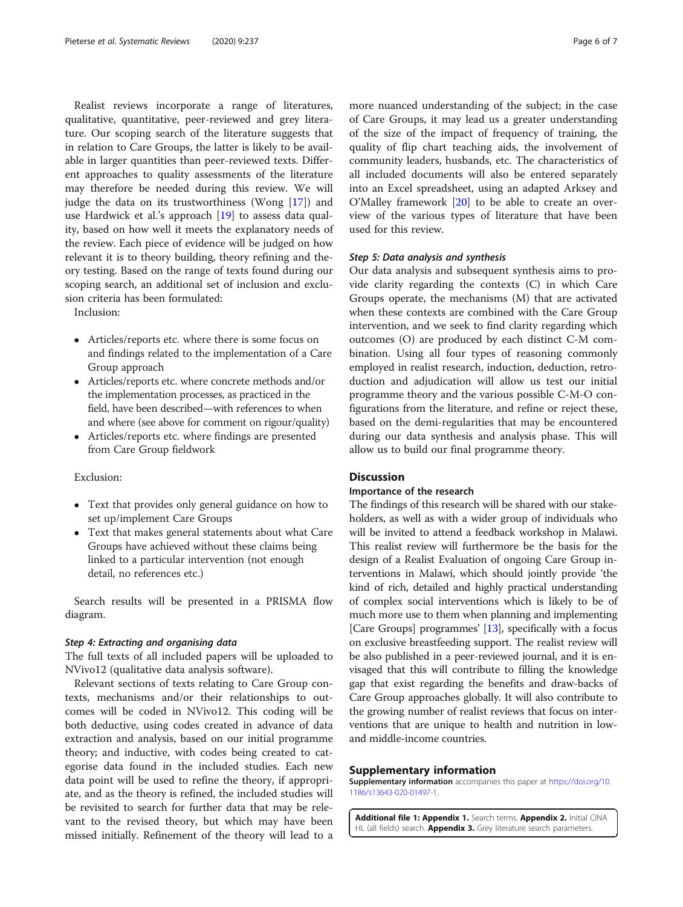<span id="page-5-0"></span>Realist reviews incorporate a range of literatures, qualitative, quantitative, peer-reviewed and grey literature. Our scoping search of the literature suggests that in relation to Care Groups, the latter is likely to be available in larger quantities than peer-reviewed texts. Different approaches to quality assessments of the literature may therefore be needed during this review. We will judge the data on its trustworthiness (Wong [[17\]](#page-6-0)) and use Hardwick et al.'s approach [[19\]](#page-6-0) to assess data quality, based on how well it meets the explanatory needs of the review. Each piece of evidence will be judged on how relevant it is to theory building, theory refining and theory testing. Based on the range of texts found during our scoping search, an additional set of inclusion and exclusion criteria has been formulated:

Inclusion:

- Articles/reports etc. where there is some focus on and findings related to the implementation of a Care Group approach
- Articles/reports etc. where concrete methods and/or the implementation processes, as practiced in the field, have been described—with references to when and where (see above for comment on rigour/quality)
- Articles/reports etc. where findings are presented from Care Group fieldwork

#### Exclusion:

- Text that provides only general guidance on how to set up/implement Care Groups
- Text that makes general statements about what Care Groups have achieved without these claims being linked to a particular intervention (not enough detail, no references etc.)

Search results will be presented in a PRISMA flow diagram.

#### Step 4: Extracting and organising data

The full texts of all included papers will be uploaded to NVivo12 (qualitative data analysis software).

Relevant sections of texts relating to Care Group contexts, mechanisms and/or their relationships to outcomes will be coded in NVivo12. This coding will be both deductive, using codes created in advance of data extraction and analysis, based on our initial programme theory; and inductive, with codes being created to categorise data found in the included studies. Each new data point will be used to refine the theory, if appropriate, and as the theory is refined, the included studies will be revisited to search for further data that may be relevant to the revised theory, but which may have been missed initially. Refinement of the theory will lead to a more nuanced understanding of the subject; in the case of Care Groups, it may lead us a greater understanding of the size of the impact of frequency of training, the quality of flip chart teaching aids, the involvement of community leaders, husbands, etc. The characteristics of all included documents will also be entered separately into an Excel spreadsheet, using an adapted Arksey and O'Malley framework [[20](#page-6-0)] to be able to create an overview of the various types of literature that have been used for this review.

#### Step 5: Data analysis and synthesis

Our data analysis and subsequent synthesis aims to provide clarity regarding the contexts (C) in which Care Groups operate, the mechanisms (M) that are activated when these contexts are combined with the Care Group intervention, and we seek to find clarity regarding which outcomes (O) are produced by each distinct C-M combination. Using all four types of reasoning commonly employed in realist research, induction, deduction, retroduction and adjudication will allow us test our initial programme theory and the various possible C-M-O configurations from the literature, and refine or reject these, based on the demi-regularities that may be encountered during our data synthesis and analysis phase. This will allow us to build our final programme theory.

#### **Discussion**

#### Importance of the research

The findings of this research will be shared with our stakeholders, as well as with a wider group of individuals who will be invited to attend a feedback workshop in Malawi. This realist review will furthermore be the basis for the design of a Realist Evaluation of ongoing Care Group interventions in Malawi, which should jointly provide 'the kind of rich, detailed and highly practical understanding of complex social interventions which is likely to be of much more use to them when planning and implementing [Care Groups] programmes' [[13](#page-6-0)], specifically with a focus on exclusive breastfeeding support. The realist review will be also published in a peer-reviewed journal, and it is envisaged that this will contribute to filling the knowledge gap that exist regarding the benefits and draw-backs of Care Group approaches globally. It will also contribute to the growing number of realist reviews that focus on interventions that are unique to health and nutrition in lowand middle-income countries.

#### Supplementary information

Supplementary information accompanies this paper at [https://doi.org/10.](https://doi.org/10.1186/s13643-020-01497-1) [1186/s13643-020-01497-1](https://doi.org/10.1186/s13643-020-01497-1).

Additional file 1: Appendix 1. Search terms. Appendix 2. Initial CINA HL (all fields) search. **Appendix 3.** Grey literature search parameters.